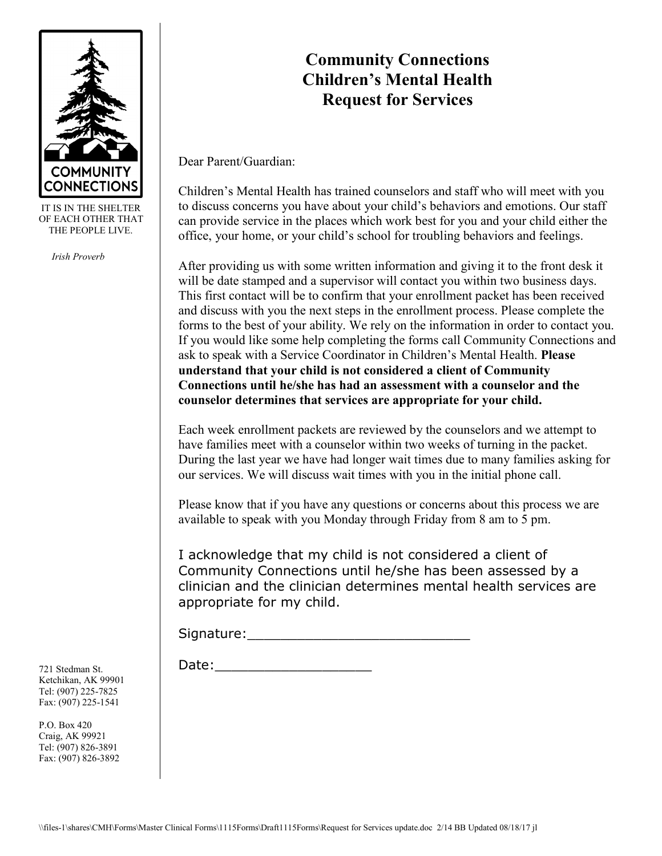

IT IS IN THE SHELTER OF EACH OTHER THAT THE PEOPLE LIVE.

*Irish Proverb*

## **Community Connections Children's Mental Health Request for Services**

Dear Parent/Guardian:

Children's Mental Health has trained counselors and staff who will meet with you to discuss concerns you have about your child's behaviors and emotions. Our staff can provide service in the places which work best for you and your child either the office, your home, or your child's school for troubling behaviors and feelings.

After providing us with some written information and giving it to the front desk it will be date stamped and a supervisor will contact you within two business days. This first contact will be to confirm that your enrollment packet has been received and discuss with you the next steps in the enrollment process. Please complete the forms to the best of your ability. We rely on the information in order to contact you. If you would like some help completing the forms call Community Connections and ask to speak with a Service Coordinator in Children's Mental Health. **Please understand that your child is not considered a client of Community Connections until he/she has had an assessment with a counselor and the counselor determines that services are appropriate for your child.** 

Each week enrollment packets are reviewed by the counselors and we attempt to have families meet with a counselor within two weeks of turning in the packet. During the last year we have had longer wait times due to many families asking for our services. We will discuss wait times with you in the initial phone call.

Please know that if you have any questions or concerns about this process we are available to speak with you Monday through Friday from 8 am to 5 pm.

I acknowledge that my child is not considered a client of Community Connections until he/she has been assessed by a clinician and the clinician determines mental health services are appropriate for my child.

Signature:\_\_\_\_\_\_\_\_\_\_\_\_\_\_\_\_\_\_\_\_\_\_\_\_\_\_\_

Date:

721 Stedman St. Ketchikan, AK 99901 Tel: (907) 225-7825 Fax: (907) 225-1541

P.O. Box 420 Craig, AK 99921 Tel: (907) 826-3891 Fax: (907) 826-3892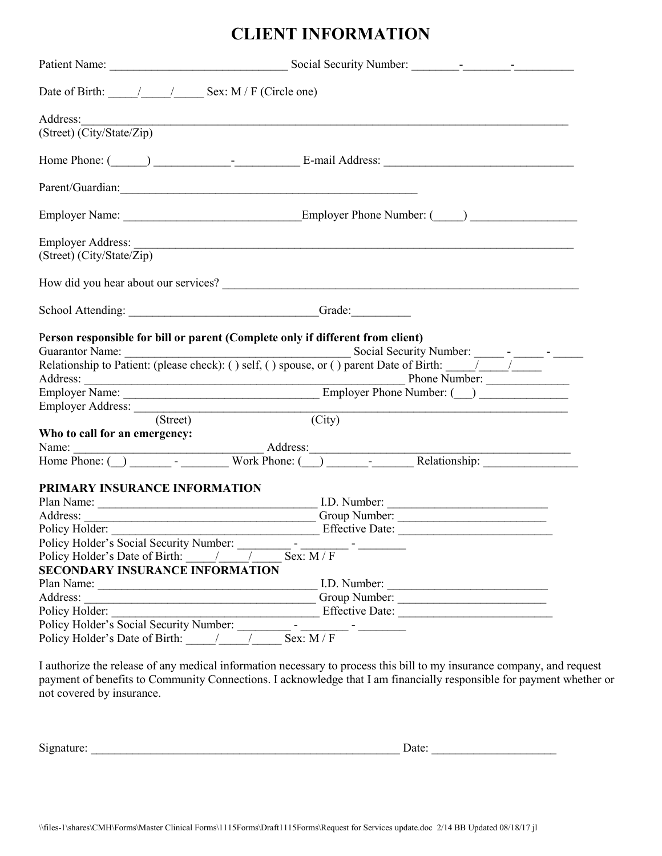## **CLIENT INFORMATION**

| Address:<br>(Street) (City/State/Zip)                                             |                                                                                                                                                                                                                                                                                                                                                                                               |  |  |  |
|-----------------------------------------------------------------------------------|-----------------------------------------------------------------------------------------------------------------------------------------------------------------------------------------------------------------------------------------------------------------------------------------------------------------------------------------------------------------------------------------------|--|--|--|
|                                                                                   | Home Phone: (Champion Company of The E-mail Address: Champion Company of The Phone: (Champion Company of The E-mail Address: Champion Company of The Phone Company of The Phone Company of The Phone Company of The Phone Comp                                                                                                                                                                |  |  |  |
| Parent/Guardian:                                                                  |                                                                                                                                                                                                                                                                                                                                                                                               |  |  |  |
|                                                                                   |                                                                                                                                                                                                                                                                                                                                                                                               |  |  |  |
| (Street) (City/State/Zip)                                                         |                                                                                                                                                                                                                                                                                                                                                                                               |  |  |  |
|                                                                                   |                                                                                                                                                                                                                                                                                                                                                                                               |  |  |  |
| School Attending: ______________________________Grade: __________________________ |                                                                                                                                                                                                                                                                                                                                                                                               |  |  |  |
| Person responsible for bill or parent (Complete only if different from client)    | Guarantor Name: Social Security Number: Social Security Number: Relationship to Patient: (please check): () self, () spouse, or () parent Date of Birth: \[\[\left] \]                                                                                                                                                                                                                        |  |  |  |
|                                                                                   | Address: Phone Number: Phone Number: Phone Number: Phone Number: Phone Number: Phone Number: Phone Number: Phone Number: Phone Number: Phone Number: Phone Number: Phone Number: Phone Number: Phone Number: Phone Number: Pho                                                                                                                                                                |  |  |  |
| Employer Address: (Street)                                                        |                                                                                                                                                                                                                                                                                                                                                                                               |  |  |  |
|                                                                                   | (City)                                                                                                                                                                                                                                                                                                                                                                                        |  |  |  |
| Who to call for an emergency:                                                     |                                                                                                                                                                                                                                                                                                                                                                                               |  |  |  |
|                                                                                   |                                                                                                                                                                                                                                                                                                                                                                                               |  |  |  |
|                                                                                   |                                                                                                                                                                                                                                                                                                                                                                                               |  |  |  |
| PRIMARY INSURANCE INFORMATION                                                     |                                                                                                                                                                                                                                                                                                                                                                                               |  |  |  |
|                                                                                   |                                                                                                                                                                                                                                                                                                                                                                                               |  |  |  |
|                                                                                   |                                                                                                                                                                                                                                                                                                                                                                                               |  |  |  |
| Policy Holder:                                                                    | <b>Effective Date:</b>                                                                                                                                                                                                                                                                                                                                                                        |  |  |  |
| Policy Holder's Social Security Number:                                           |                                                                                                                                                                                                                                                                                                                                                                                               |  |  |  |
| Policy Holder's Date of Birth: / /                                                | $\overline{Sex: M / F}$                                                                                                                                                                                                                                                                                                                                                                       |  |  |  |
| <b>SECONDARY INSURANCE INFORMATION</b>                                            |                                                                                                                                                                                                                                                                                                                                                                                               |  |  |  |
|                                                                                   | I.D. Number:                                                                                                                                                                                                                                                                                                                                                                                  |  |  |  |
|                                                                                   | Group Number:                                                                                                                                                                                                                                                                                                                                                                                 |  |  |  |
| Policy Holder:                                                                    |                                                                                                                                                                                                                                                                                                                                                                                               |  |  |  |
| Policy Holder's Social Security Number:                                           | $\frac{1}{2} = \frac{1}{2} \frac{1}{2} \frac{1}{2} \frac{1}{2} \frac{1}{2} \frac{1}{2} \frac{1}{2} \frac{1}{2} \frac{1}{2} \frac{1}{2} \frac{1}{2} \frac{1}{2} \frac{1}{2} \frac{1}{2} \frac{1}{2} \frac{1}{2} \frac{1}{2} \frac{1}{2} \frac{1}{2} \frac{1}{2} \frac{1}{2} \frac{1}{2} \frac{1}{2} \frac{1}{2} \frac{1}{2} \frac{1}{2} \frac{1}{2} \frac{1}{2} \frac{1}{2} \frac{1}{2} \frac$ |  |  |  |
| $\frac{1}{\sqrt{2}}$                                                              | Sex: M/F                                                                                                                                                                                                                                                                                                                                                                                      |  |  |  |

I authorize the release of any medical information necessary to process this bill to my insurance company, and request payment of benefits to Community Connections. I acknowledge that I am financially responsible for payment whether or not covered by insurance.

| Signature: | Date: |  |
|------------|-------|--|
|            |       |  |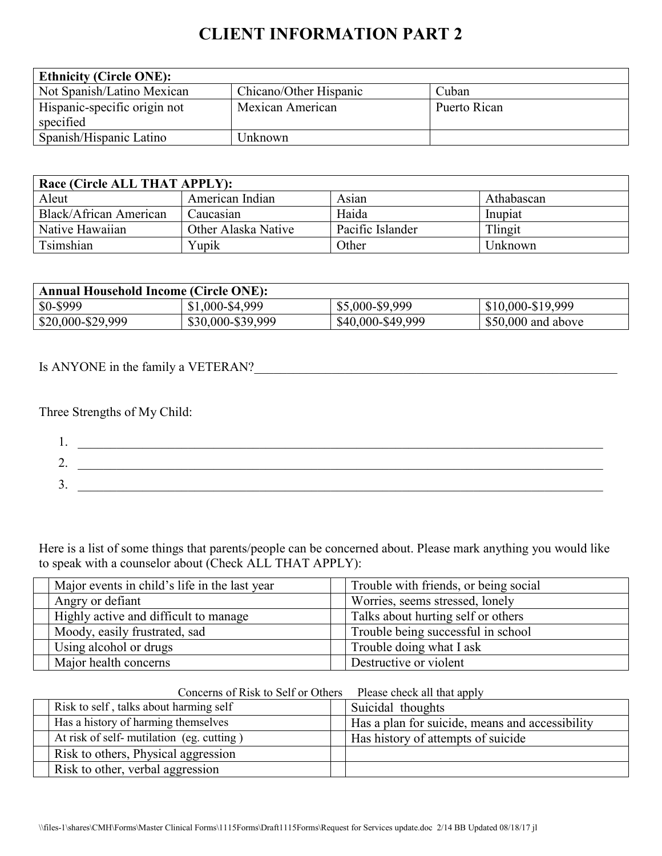# **CLIENT INFORMATION PART 2**

| <b>Ethnicity (Circle ONE):</b>            |                        |              |  |  |  |
|-------------------------------------------|------------------------|--------------|--|--|--|
| Not Spanish/Latino Mexican                | Chicano/Other Hispanic | Cuban        |  |  |  |
| Hispanic-specific origin not<br>specified | Mexican American       | Puerto Rican |  |  |  |
| Spanish/Hispanic Latino                   | Unknown                |              |  |  |  |

| Race (Circle ALL THAT APPLY):       |                     |                  |            |  |  |  |
|-------------------------------------|---------------------|------------------|------------|--|--|--|
| Aleut<br>American Indian            |                     | Asian            | Athabascan |  |  |  |
| Black/African American<br>Caucasian |                     | Haida            | Inupiat    |  |  |  |
| Native Hawaiian                     | Other Alaska Native | Pacific Islander | Tlingit    |  |  |  |
| Tsimshian<br>Yupik                  |                     | Other            | Unknown    |  |  |  |

| <b>Annual Household Income (Circle ONE):</b> |                   |                            |                     |  |  |
|----------------------------------------------|-------------------|----------------------------|---------------------|--|--|
| \$0-\$999                                    | \$1,000-\$4,999   | $\frac{$5,000 - $9,999}{}$ | $$10,000-S19,999$   |  |  |
| \$20,000-\$29,999                            | \$30,000-\$39,999 | \$40,000-\$49,999          | $$50,000$ and above |  |  |

Is ANYONE in the family a VETERAN?

Three Strengths of My Child:

| . .      |  |
|----------|--|
| <u>.</u> |  |
| ، ب      |  |

Here is a list of some things that parents/people can be concerned about. Please mark anything you would like to speak with a counselor about (Check ALL THAT APPLY):

| Major events in child's life in the last year | Trouble with friends, or being social |
|-----------------------------------------------|---------------------------------------|
| Angry or defiant                              | Worries, seems stressed, lonely       |
| Highly active and difficult to manage         | Talks about hurting self or others    |
| Moody, easily frustrated, sad                 | Trouble being successful in school    |
| Using alcohol or drugs                        | Trouble doing what I ask              |
| Major health concerns                         | Destructive or violent                |

| Concerns of Risk to Self or Others Please check all that apply |                                                 |
|----------------------------------------------------------------|-------------------------------------------------|
| Risk to self, talks about harming self                         | Suicidal thoughts                               |
| Has a history of harming themselves                            | Has a plan for suicide, means and accessibility |
| At risk of self-mutilation (eg. cutting)                       | Has history of attempts of suicide              |
| Risk to others, Physical aggression                            |                                                 |
| Risk to other, verbal aggression                               |                                                 |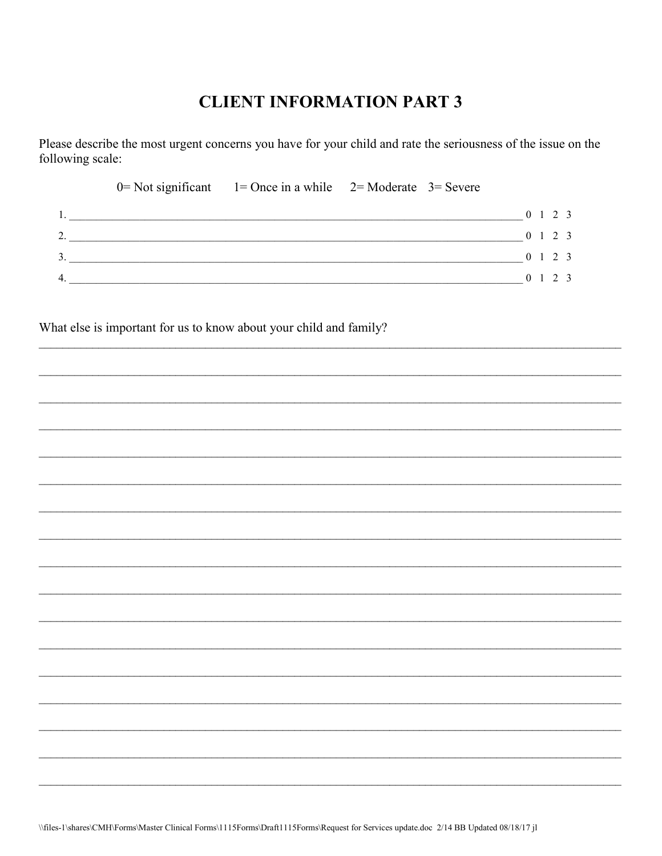## **CLIENT INFORMATION PART 3**

Please describe the most urgent concerns you have for your child and rate the seriousness of the issue on the following scale:

|  | $0 = Not significant$ 1 = Once in a while 2 = Moderate 3 = Severe |  |         |                 |  |
|--|-------------------------------------------------------------------|--|---------|-----------------|--|
|  |                                                                   |  | 0 1 2 3 |                 |  |
|  |                                                                   |  | 0 1 2 3 |                 |  |
|  |                                                                   |  | 0 1 2 3 |                 |  |
|  |                                                                   |  |         | $0 \t1 \t2 \t3$ |  |

What else is important for us to know about your child and family?

| \\files-1\shares\CMH\Forms\Master Clinical Forms\1115Forms\Draft1115Forms\Request for Services update.doc 2/14 BB Updated 08/18/17 jl |  |  |
|---------------------------------------------------------------------------------------------------------------------------------------|--|--|
|---------------------------------------------------------------------------------------------------------------------------------------|--|--|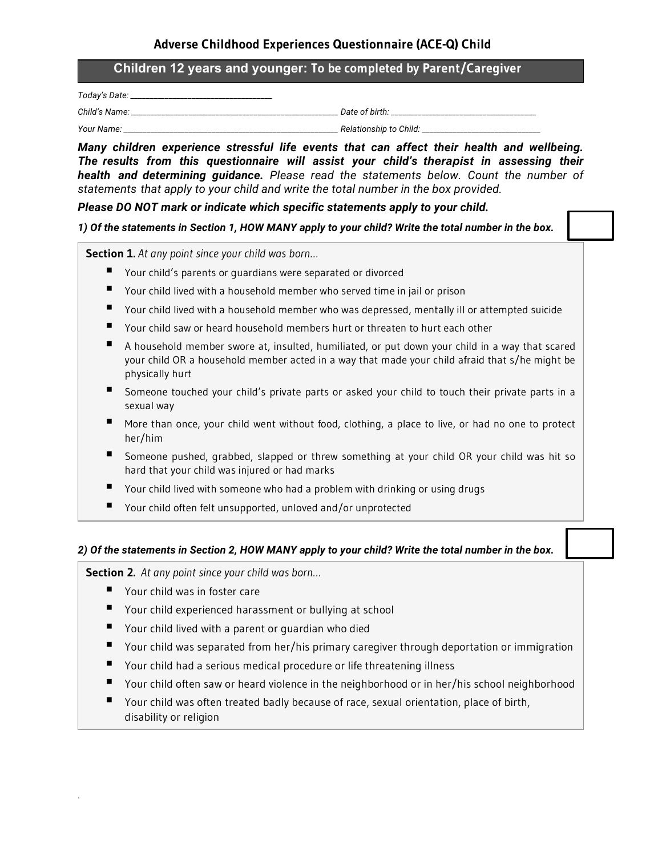### **Adverse Childhood Experiences Questionnaire (ACE-Q) Child**

#### **Children 12 years and younger: To be completed by Parent/Caregiver**

*Today's Date: \_\_\_\_\_\_\_\_\_\_\_\_\_\_\_\_\_\_\_\_\_\_\_\_\_\_\_\_\_\_\_\_\_\_\_\_\_* 

*Child's Name: \_\_\_\_\_\_\_\_\_\_\_\_\_\_\_\_\_\_\_\_\_\_\_\_\_\_\_\_\_\_\_\_\_\_\_\_\_\_\_\_\_\_\_\_\_\_\_\_\_\_\_\_\_\_ Date of birth: \_\_\_\_\_\_\_\_\_\_\_\_\_\_\_\_\_\_\_\_\_\_\_\_\_\_\_\_\_\_\_\_\_\_\_\_\_\_* 

*Your Name: \_\_\_\_\_\_\_\_\_\_\_\_\_\_\_\_\_\_\_\_\_\_\_\_\_\_\_\_\_\_\_\_\_\_\_\_\_\_\_\_\_\_\_\_\_\_\_\_\_\_\_\_\_\_\_\_ Relationship to Child: \_\_\_\_\_\_\_\_\_\_\_\_\_\_\_\_\_\_\_\_\_\_\_\_\_\_\_\_\_\_\_*

*Many children experience stressful life events that can affect their health and wellbeing. The results from this questionnaire will assist your child's therapist in assessing their health and determining guidance. Please read the statements below. Count the number of statements that apply to your child and write the total number in the box provided.* 

### *Please DO NOT mark or indicate which specific statements apply to your child.*

*1) Of the statements in Section 1, HOW MANY apply to your child? Write the total number in the box.*

**Section 1.** *At any point since your child was born…*

- Your child's parents or quardians were separated or divorced
- Your child lived with a household member who served time in jail or prison
- Your child lived with a household member who was depressed, mentally ill or attempted suicide
- Your child saw or heard household members hurt or threaten to hurt each other
- A household member swore at, insulted, humiliated, or put down your child in a way that scared your child OR a household member acted in a way that made your child afraid that s/he might be physically hurt
- Someone touched your child's private parts or asked your child to touch their private parts in a sexual way
- More than once, your child went without food, clothing, a place to live, or had no one to protect her/him
- Someone pushed, grabbed, slapped or threw something at your child OR your child was hit so hard that your child was injured or had marks
- Your child lived with someone who had a problem with drinking or using drugs
- Your child often felt unsupported, unloved and/or unprotected

### *2) Of the statements in Section 2, HOW MANY apply to your child? Write the total number in the box.*

**Section 2.** *At any point since your child was born…*

■ Your child was in foster care

.

- Your child experienced harassment or bullying at school
- Your child lived with a parent or quardian who died
- Your child was separated from her/his primary caregiver through deportation or immigration
- Your child had a serious medical procedure or life threatening illness
- Your child often saw or heard violence in the neighborhood or in her/his school neighborhood
- Your child was often treated badly because of race, sexual orientation, place of birth, disability or religion